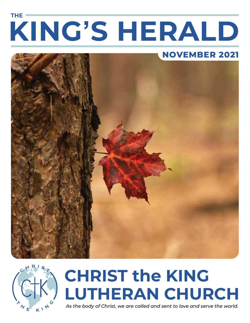# **KING'S HERALD THE**







# **CHRIST the KING LUTHERAN CHURCH**

*As the body of Christ, we are called and sent to love and serve the world.*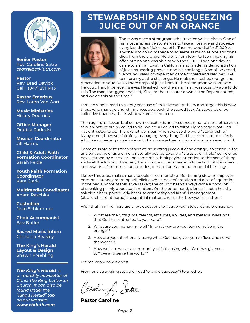

**Senior Pastor**  Rev. Caroline Satre *csatre@ctkluth.com* 

#### **Pastor**  Rev. Brad Davick Cell: (847) 271.1413

**Pastor Emeritus**  Rev. Loren Van Oort

**Music Ministries**  Hillary Doerries

**Office Manager**  Debbie Radecki

**Mission Coordinator**  Jill Harms

**Child & Adult Faith Formation Coordinator**  Sarah Felde

**Youth Faith Formation Coordinator**  Kara Clark

**Multimedia Coordinator**  Adam Raschka

**Custodian**  Jean Schlemmer

**Choir Accompanist**  Bev Butler

**Sacred Music Intern**  Christina Beasley

**The King's Herald Layout & Design**  Shawn Freehling

#### *The King's Herald is*

*a monthly newsletter of Christ the King Lutheran Church. It can also be found under the "King's Herald" tab on our website: www.ctkluth.com*

### **STEWARDSHIP AND SQUEEZING JUICE OUT OF AN ORANGE**



There was once a strongman who traveled with a circus. One of his most impressive stunts was to take an orange and squeeze every last drop of juice out of it. Then he would offer \$1,000 to anyone who could manage to squeeze as much as one additional drop from the orange. He went from town to town making his offer, but no one was able to win the \$1,000. Then one day he came to a small town in California and made his demonstration of juice-squeezing prowess and his challenge. A small, wizened, 98-pound weakling-type man came forward and said he'd like to take a try at the challenge. He took the crushed orange and

proceeded to squeeze six more drops of juice from it. The strongman was amazed. He could hardly believe his eyes. He asked how the small man was possibly able to do this. The man shrugged and said, "Oh, I'm the treasurer down at the Baptist church, and we do this all the time!"

I smiled when I read this story because of its universal truth. By and large, this is how those who manage church finances approach the sacred task. As stewards of our collective finances, this is what we are called to do.

Then again, as stewards of our own households and resources (financial and otherwise), this is what we are *all* called to do. We are all called to faithfully manage what God has entrusted to us. This is what we mean when we use the word "stewardship." Many times, however, faithfully managing everything God has entrusted to us feels a lot like squeezing more juice out of an orange than a circus strongman ever could.

Some of us are better than others at "squeezing juice out of an orange," to continue the analogy. Some of us are more naturally geared toward a "citrus stronghold," some of us have learned by necessity, and some of us think paying attention to this sort of thing sucks all the fun out of life. Yet, the Scriptures often charge us to be faithful managers… or stewards…of our time, our attitudes, our aptitudes, and our material blessings.

I know this topic makes many people uncomfortable. Mentioning stewardship even once on a Sunday morning will elicit a whole host of emotion and a bit of squirming in the pews. Some of this is well taken; the church hasn't always done a good job of speaking plainly about such matters. On the other hand, silence is not a healthy solution either, particularly because generosity and faithful management (at church and at home) are spiritual matters…no matter how you slice them!

With that in mind, here are a few questions to gauge your stewardship proficiency:

- 1. What are the gifts (time, talents, attitudes, abilities, and material blessings) that God has entrusted to your care?
- 2. What are you managing well? In what way are you leaving "juice in the orange"?
- 3. How are you intentionally using what God has given you to "love and serve the world"?
- 4. How well are we, as a community of faith, using what God has given us to "love and serve the world"?

Let me know how it goes!

From one struggling steward (read "orange squeezer") to another,

arolin f. Satre

**Pastor Caroline**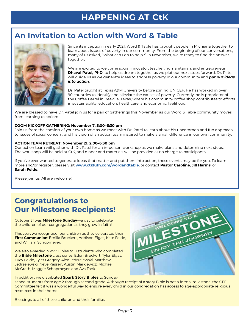## **HAPPENING AT CtK**

#### **An Invitation to Action with Word & Table**



Since its inception in early 2021, Word & Table has brought people in Michiana together to learn about issues of poverty in our community. From the beginning of our conversations, many of us asked, "What can I do to help?" In November, we're ready to find the answer together.

We are excited to welcome social innovator, teacher, humanitarian, and entrepreneur **Dhaval Patel, PhD**, to help us dream together as we plot our next steps forward. Dr. Patel will guide us as we generate ideas to address poverty in our community and *put our ideas into action*.

Dr. Patel taught at Texas A&M University before joining UNICEF. He has worked in over 90 countries to identify and alleviate the causes of poverty. Currently, he is proprietor of the Coffee Barrel in Beeville, Texas, where his community coffee shop contributes to efforts in sustainability, education, healthcare, and economic livelihood.

We are blessed to have Dr. Patel join us for a pair of gatherings this November as our Word & Table community moves from learning to action:

#### **ZOOM KICKOFF GATHERING: November 7, 5:00–6:30 pm**

Join us from the comfort of your own home as we meet with Dr. Patel to learn about his uncommon and fun approach to issues of social concern, and his vision of an action team inspired to make a small difference in our own community.

#### **ACTION TEAM RETREAT: November 21, 2:00–6:30 pm**

Our action team will gather with Dr. Patel for an in-person workshop as we make plans and determine next steps. The workshop will be held at CtK, and dinner and materials will be provided at no charge to participants.

If you've ever wanted to generate ideas that matter and put them into action, these events may be for you. To learn more and/or register, please visit **www.ctkluth.com/wordandtable**, or contact **Pastor Caroline**, **Jill Harms**, or **Sarah Felde**.

Please join us. All are welcome!

#### **Congratulations to Our Milestone Recipients!**

October 31 was **Milestone Sunday**—a day to celebrate the children of our congregation as they grow in faith!

This year, we recognized four children as they celebrated their **First Communion**: Emilia Bruckert, Addison Elgas, Kate Felde, and William Schopmeyer.

We also awarded NRSV Bibles to 11 students who completed the **Bible Milestone** class series: Eden Bruckert, Tyler Elgas, Lucy Felde, Tyler Gregory, Alex Jedrzejewski, Matthew Jedrzejewski, Neve Kassen, Austin Markiewicz, Michael McGrath, Maggie Schopmeyer, and Ava Tack.

In addition, we distributed **Spark Story Bibles** to Sunday



school students from age 2 through second grade. Although receipt of a story Bible is not a formal milestone, the CFF Committee felt it was a wonderful way to ensure every child in our congregation has access to age-appropriate religious resources in their home.

Blessings to all of these children and their families!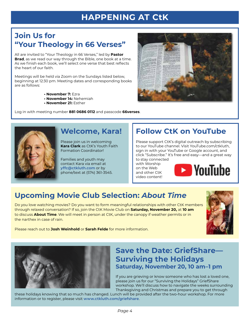## **HAPPENING AT CtK**

### **Join Us for "Your Theology in 66 Verses"**

All are invited to "Your Theology in 66 Verses," led by **Pastor Brad**, as we read our way through the Bible, one book at a time. As we finish each book, we'll select one verse that best reflects the heart of our faith.

Meetings will be held via Zoom on the Sundays listed below, beginning at 12:30 pm. Meeting dates and corresponding books are as follows:

- **November 7:** Ezra
- **November 14:** Nehemiah
- **November 21:** Esther

Log in with meeting number **881 0686 0112** and passcode **66verses**.



#### **Welcome, Kara!**

Please join us in welcoming **Kara Clark** as CtK's Youth Faith Formation Coordinator!

Families and youth may contact Kara via email at **yffc@ctkluth.com** or by phone/text at (574) 361-3545.

## **Follow CtK on YouTube**

Please support CtK's digital outreach by subscribing to our YouTube channel. Visit YouTube.com/ctkluth, sign in with your YouTube or Google account, and click "Subscribe." It's free and easy—and a great way to stay connected

with Worship on the Web and other CtK video content!



## **Upcoming Movie Club Selection:** *About Time*

Do you love watching movies? Do you want to form meaningful relationships with other CtK members through relaxed conversation? If so, join the CtK Movie Club on **Saturday, November 20,** at **10 am** to discuss **About Time**. We will meet in person at CtK, under the canopy if weather permits or in the narthex in case of rain.



Please reach out to **Josh Weinhold** or **Sarah Felde** for more information.



#### **Save the Date: GriefShare— Surviving the Holidays Saturday, November 20, 10 am–1 pm**

If you are grieving or know someone who has lost a loved one, please join us for our "Surviving the Holidays" GriefShare workshop. We'll discuss how to navigate the weeks surrounding Thanksgiving and Christmas and prepare you to get through

these holidays knowing that so much has changed. Lunch will be provided after the two-hour workshop. For more information or to register, please visit **www.ctkluth.com/griefshare**.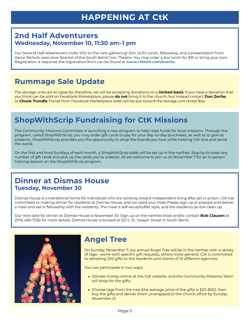### **HAPPENING AT CtK**

#### **2nd Half Adventurers Wednesday, November 10, 11:30 am–1 pm**

Our Second Half Adventurers invite YOU to the next gathering! Join us for lunch, fellowship, and a presentation from Aaron Nichols, executive director of the South Bend Civic Theatre. You may order a box lunch for \$10 or bring your own. Registration is required; the registration form can be found at **www.ctkluth.com/events**.

### **Rummage Sale Update**

The storage units are at capacity; therefore, we will be accepting donations on a **limited basis**. If you have a donation that you think can be sold on Facebook Marketplace, please **do not** bring it to the church, but instead contact **Don Zerfas** or **Chuck Trundle**. Funds from Facebook Marketplace sales will be put toward the storage unit rental fees.

### **ShopWithScrip Fundraising for CtK Missions**

The Community Missions Committee is launching a new program to help raise funds for local missions. Through the program, called ShopWithScrip, you may order gift cards to pay for your day-to-day purchases, as well as to give as presents. ShopWithScrip provides you the opportunity to shop the brands you love while helping CtK love and serve the world.

On the first and third Sundays of each month, a ShopWithScrip table will be set up in the narthex. Stop by to order any number of gift cards and pick up the cards you've ordered. All are welcome to join us on November 7 for an in-person training session on the ShopWithScrip program.

#### **Dinner at Dismas House Tuesday, November 30**

Dismas House is a transitional home for individuals who are working toward independent living after jail or prison. CtK has committed to making dinner for residents at Dismas House, and we need your help! Please sign up to prepare and deliver a meal and eat in fellowship with the residents. The meal is self-serve/buffet style, and the residents do the clean up.

Our next date for dinner at Dismas House is November 30. Sign up on the narthex kiosk and/or contact **Bob Clausen** at (574) 485-7292 for more details. Dismas House is located at 521 S. St. Joseph Street in South Bend.



#### **Angel Tree**

On Sunday, November 7, our annual Angel Tree will be in the narthex with a variety of tags—some with specific gift requests, others more general. CtK is committed to donating 200 gifts to the residents and clients of 10 different agencies.

You can participate in two ways:

- Donate money online at the CtK website, and the Community Missions Team will shop for the gifts.
- Choose tags from the tree (the average price of the gifts is \$25–\$30), then buy the gifts and deliver them unwrapped to the church office by Sunday, November 21.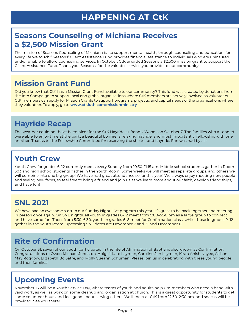#### **Seasons Counseling of Michiana Receives a \$2,500 Mission Grant**

The mission of Seasons Counseling of Michiana is "to support mental health, through counseling and education, for every life we touch." Seasons' Client Assistance Fund provides financial assistance to individuals who are uninsured and/or unable to afford counseling services. In October, CtK awarded Seasons a \$2,500 mission grant to support their Client Assistance Fund. Thank you, Seasons, for the valuable service you provide to our community!

### **Mission Grant Fund**

Did you know that CtK has a Mission Grant Fund available to our community? This fund was created by donations from the Into Campaign to support local and global organizations where CtK members are actively involved as volunteers. CtK members can apply for Mission Grants to support programs, projects, and capital needs of the organizations where they volunteer. To apply, go to **www.ctkluth.com/missionministry**.

### **Hayride Recap**

The weather could not have been nicer for the CtK Hayride at Bendix Woods on October 7. The families who attended were able to enjoy time at the park, a beautiful bonfire, a relaxing hayride, and most importantly, fellowship with one another. Thanks to the Fellowship Committee for reserving the shelter and hayride. Fun was had by all!

### **Youth Crew**

Youth Crew for grades 6–12 currently meets every Sunday from 10:30–11:15 am. Middle school students gather in Room 303 and high school students gather in the Youth Room. Some weeks we will meet as separate groups, and others we will combine into one big group! We have had great attendance so far this year! We always enjoy meeting new people and seeing new faces, so feel free to bring a friend and join us as we learn more about our faith, develop friendships, and have fun!

#### **SNL 2021**

We have had an awesome start to our Sunday Night Live program this year! It's great to be back together and meeting in person once again. On SNL nights, all youth in grades 6–12 meet from 5:00–5:30 pm as a large group to connect and have some fun. Then, from 5:30–6:30, youth in grades 6–8 meet for Confirmation class, while those in grades 9–12 gather in the Youth Room. Upcoming SNL dates are November 7 and 21 and December 12.

## **Rite of Confirmation**

On October 31, seven of our youth participated in the rite of Affirmation of Baptism, also known as Confirmation. Congratulations to Owen Michael Johnston, Abigail Kate Layman, Caroline Jan Layman, Kiran Anish Nayee, Allison May Roggow, Elizabeth Bo Satre, and Molly Sueann Schuman. Please join us in celebrating with these young people and their families!

### **Upcoming Events**

November 13 will be a Youth Service Day, where teams of youth and adults help CtK members who need a hand with yard work, as well as work on some cleanup and organization at church. This is a great opportunity for students to get some volunteer hours and feel good about serving others! We'll meet at CtK from 12:30–2:30 pm, and snacks will be provided. See you there!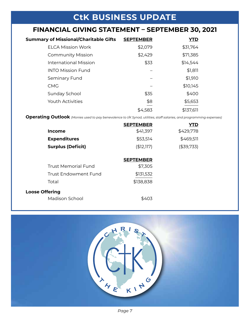### **CtK BUSINESS UPDATE**

#### **FINANCIAL GIVING STATEMENT – SEPTEMBER 30, 2021**

| <b>Summary of Missional/Charitable Gifts</b> | <b>SEPTEMBER</b> | <b>YTD</b> |
|----------------------------------------------|------------------|------------|
| <b>ELCA Mission Work</b>                     | \$2,079          | \$31,764   |
| <b>Community Mission</b>                     | \$2,429          | \$71,385   |
| <b>International Mission</b>                 | \$33             | \$14,544   |
| <b>INTO Mission Fund</b>                     |                  | \$1,811    |
| Seminary Fund                                |                  | \$1,910    |
| <b>CMG</b>                                   |                  | \$10,145   |
| Sunday School                                | \$35             | \$400      |
| <b>Youth Activities</b>                      | \$8              | \$5,653    |
|                                              | \$4,583          | \$137,611  |

**Operating Outlook** *(Monies used to pay benevolence to I/K Synod, utilities, staff salaries, and programming expenses)*

|                             | <b>SEPTEMBER</b> | YTD        |
|-----------------------------|------------------|------------|
| <b>Income</b>               | \$41,397         | \$429,778  |
| <b>Expenditures</b>         | \$53,514         | \$469,511  |
| <b>Surplus (Deficit)</b>    | (\$12,117)       | (\$39,733) |
|                             |                  |            |
|                             | <b>SEPTEMBER</b> |            |
| <b>Trust Memorial Fund</b>  | \$7,305          |            |
| <b>Trust Endowment Fund</b> | \$131,532        |            |
| Total                       | \$138,838        |            |
| <b>Loose Offering</b>       |                  |            |